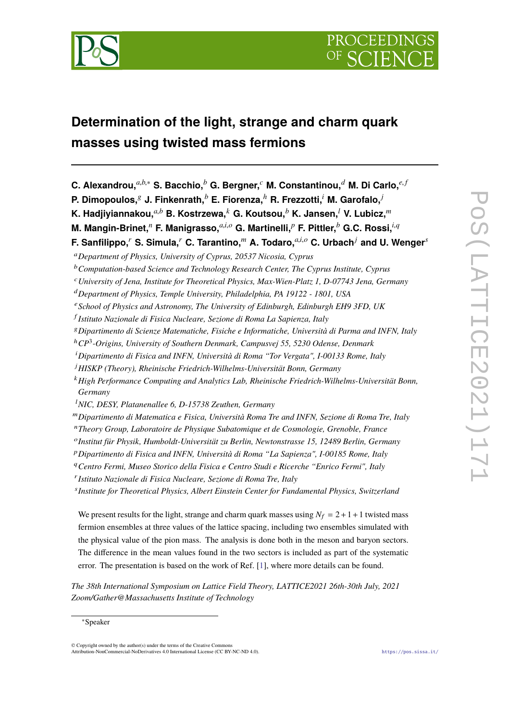

# **Determination of the light, strange and charm quark masses using twisted mass fermions**

- **C. Alexandrou,***a*,*b*,<sup>∗</sup> **S. Bacchio,***<sup>b</sup>* **G. Bergner,***<sup>c</sup>* **M. Constantinou,***<sup>d</sup>* **M. Di Carlo,***e*, *<sup>f</sup>*
- **P. Dimopoulos,**<sup>g</sup> **J. Finkenrath,***<sup>b</sup>* **E. Fiorenza,***<sup>h</sup>* **R. Frezzotti,***<sup>i</sup>* **M. Garofalo,***<sup>j</sup>*

<sup>k</sup>*High Performance Computing and Analytics Lab, Rheinische Friedrich-Wilhelms-Universität Bonn, Germany*

- <sup>n</sup>*Theory Group, Laboratoire de Physique Subatomique et de Cosmologie, Grenoble, France*
- o *Institut für Physik, Humboldt-Universität zu Berlin, Newtonstrasse 15, 12489 Berlin, Germany*
- <sup>p</sup>*Dipartimento di Fisica and INFN, Università di Roma "La Sapienza", I-00185 Rome, Italy*
- <sup>q</sup>*Centro Fermi, Museo Storico della Fisica e Centro Studi e Ricerche "Enrico Fermi", Italy*
- r *Istituto Nazionale di Fisica Nucleare, Sezione di Roma Tre, Italy*

s *Institute for Theoretical Physics, Albert Einstein Center for Fundamental Physics, Switzerland*

We present results for the light, strange and charm quark masses using  $N_f = 2 + 1 + 1$  twisted mass fermion ensembles at three values of the lattice spacing, including two ensembles simulated with the physical value of the pion mass. The analysis is done both in the meson and baryon sectors. The difference in the mean values found in the two sectors is included as part of the systematic error. The presentation is based on the work of Ref. [\[1\]](#page-7-0), where more details can be found.

*The 38th International Symposium on Lattice Field Theory, LATTICE2021 26th-30th July, 2021 Zoom/Gather@Massachusetts Institute of Technology*

**K. Hadjiyiannakou,***a*,*<sup>b</sup>* **B. Kostrzewa,***<sup>k</sup>* **G. Koutsou,***<sup>b</sup>* **K. Jansen,***<sup>l</sup>* **V. Lubicz,***<sup>m</sup>*

**M. Mangin-Brinet,***<sup>n</sup>* **F. Manigrasso,***a*,*i*,*<sup>o</sup>* **G. Martinelli,***<sup>p</sup>* **F. Pittler,***<sup>b</sup>* **G.C. Rossi,***i*,*<sup>q</sup>*

**F. Sanfilippo,***<sup>r</sup>* **S. Simula,***<sup>r</sup>* **C. Tarantino,***<sup>m</sup>* **A. Todaro,***a*,*i*,*<sup>o</sup>* **C. Urbach***<sup>j</sup>* **and U. Wenger***<sup>s</sup>*

<sup>a</sup>*Department of Physics, University of Cyprus, 20537 Nicosia, Cyprus*

<sup>b</sup>*Computation-based Science and Technology Research Center, The Cyprus Institute, Cyprus*

<sup>c</sup>*University of Jena, Institute for Theoretical Physics, Max-Wien-Platz 1, D-07743 Jena, Germany*

<sup>d</sup>*Department of Physics, Temple University, Philadelphia, PA 19122 - 1801, USA*

<sup>e</sup>*School of Physics and Astronomy, The University of Edinburgh, Edinburgh EH9 3FD, UK*

f *Istituto Nazionale di Fisica Nucleare, Sezione di Roma La Sapienza, Italy*

<sup>g</sup>*Dipartimento di Scienze Matematiche, Fisiche e Informatiche, Università di Parma and INFN, Italy*

<sup>h</sup>*CP*<sup>3</sup> *-Origins, University of Southern Denmark, Campusvej 55, 5230 Odense, Denmark*

<sup>i</sup>*Dipartimento di Fisica and INFN, Università di Roma "Tor Vergata", I-00133 Rome, Italy*

<sup>j</sup>*HISKP (Theory), Rheinische Friedrich-Wilhelms-Universität Bonn, Germany*

<sup>l</sup>*NIC, DESY, Platanenallee 6, D-15738 Zeuthen, Germany*

<sup>m</sup>*Dipartimento di Matematica e Fisica, Università Roma Tre and INFN, Sezione di Roma Tre, Italy*

<sup>∗</sup>Speaker

<sup>©</sup> Copyright owned by the author(s) under the terms of the Creative Commons Attribution-NonCommercial-NoDerivatives 4.0 International License (CC BY-NC-ND 4.0). <https://pos.sissa.it/>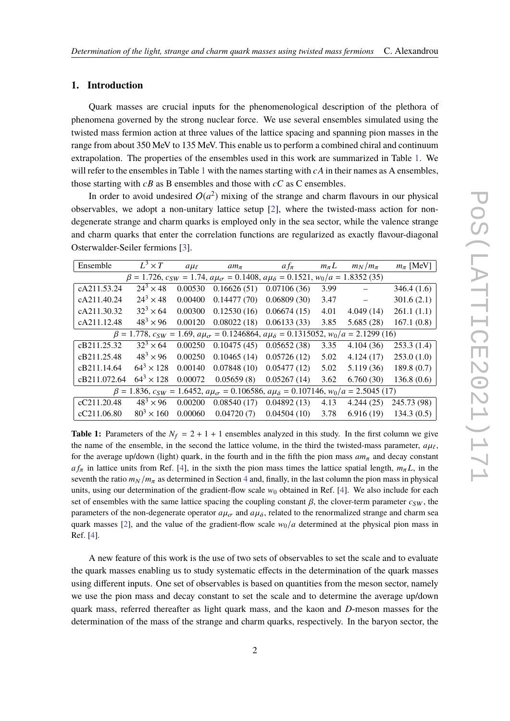# **1. Introduction**

Quark masses are crucial inputs for the phenomenological description of the plethora of phenomena governed by the strong nuclear force. We use several ensembles simulated using the twisted mass fermion action at three values of the lattice spacing and spanning pion masses in the range from about 350 MeV to 135 MeV. This enable us to perform a combined chiral and continuum extrapolation. The properties of the ensembles used in this work are summarized in Table [1.](#page-1-0) We will refer to the ensembles in Table [1](#page-1-0) with the names starting with  $cA$  in their names as A ensembles, those starting with  $cB$  as B ensembles and those with  $cC$  as C ensembles.

In order to avoid undesired  $O(a^2)$  mixing of the strange and charm flavours in our physical observables, we adopt a non-unitary lattice setup [\[2\]](#page-7-1), where the twisted-mass action for nondegenerate strange and charm quarks is employed only in the sea sector, while the valence strange and charm quarks that enter the correlation functions are regularized as exactly flavour-diagonal Osterwalder-Seiler fermions [\[3\]](#page-7-2).

<span id="page-1-0"></span>

| Ensemble                                                                                                              | $L^3 \times T$              | $a\mu_{\ell}$ | $am_{\pi}$  | $af_{\pi}$  | $m_{\pi}L$ | $m_N/m_\pi$ | $m_\pi$ [MeV] |
|-----------------------------------------------------------------------------------------------------------------------|-----------------------------|---------------|-------------|-------------|------------|-------------|---------------|
| $\beta = 1.726$ , $c_{SW} = 1.74$ , $a\mu_{\sigma} = 0.1408$ , $a\mu_{\delta} = 0.1521$ , $w_0/a = 1.8352$ (35)       |                             |               |             |             |            |             |               |
| cA211.53.24                                                                                                           | $\overline{24^3} \times 48$ | 0.00530       | 0.16626(51) | 0.07106(36) | 3.99       |             | 346.4(1.6)    |
| cA211.40.24                                                                                                           | $24^3 \times 48$            | 0.00400       | 0.14477(70) | 0.06809(30) | 3.47       | $\equiv$    | 301.6(2.1)    |
| cA211.30.32                                                                                                           | $32^3 \times 64$            | 0.00300       | 0.12530(16) | 0.06674(15) | 4.01       | 4.049(14)   | 261.1(1.1)    |
| cA211.12.48                                                                                                           | $48^{3} \times 96$          | 0.00120       | 0.08022(18) | 0.06133(33) | 3.85       | 5.685(28)   | 167.1(0.8)    |
| $\beta = 1.778$ , $c_{SW} = 1.69$ , $a\mu_{\sigma} = 0.1246864$ , $a\mu_{\delta} = 0.1315052$ , $w_0/a = 2.1299(16)$  |                             |               |             |             |            |             |               |
| cB211.25.32                                                                                                           | $32^3 \times 64$            | 0.00250       | 0.10475(45) | 0.05652(38) | 3.35       | 4.104(36)   | 253.3(1.4)    |
| cB211.25.48                                                                                                           | $48^{3} \times 96$          | 0.00250       | 0.10465(14) | 0.05726(12) | 5.02       | 4.124(17)   | 253.0(1.0)    |
| cB211.14.64                                                                                                           | $64^3 \times 128$           | 0.00140       | 0.07848(10) | 0.05477(12) | 5.02       | 5.119(36)   | 189.8(0.7)    |
| cB211.072.64                                                                                                          | $64^3 \times 128$           | 0.00072       | 0.05659(8)  | 0.05267(14) | 3.62       | 6.760(30)   | 136.8(0.6)    |
| $\beta = 1.836$ , $c_{SW} = 1.6452$ , $a\mu_{\sigma} = 0.106586$ , $a\mu_{\delta} = 0.107146$ , $w_0/a = 2.5045$ (17) |                             |               |             |             |            |             |               |
| cC211.20.48                                                                                                           | $48^{3} \times 96$          | 0.00200       | 0.08540(17) | 0.04892(13) | 4.13       | 4.244(25)   | 245.73 (98)   |
| cC211.06.80                                                                                                           | $80^{3} \times 160$         | 0.00060       | 0.04720(7)  | 0.04504(10) | 3.78       | 6.916(19)   | 134.3(0.5)    |

**Table 1:** Parameters of the  $N_f = 2 + 1 + 1$  ensembles analyzed in this study. In the first column we give the name of the ensemble, in the second the lattice volume, in the third the twisted-mass parameter,  $a\mu_{\ell}$ , for the average up/down (light) quark, in the fourth and in the fifth the pion mass  $am_\pi$  and decay constant *a* f<sub>π</sub> in lattice units from Ref. [\[4\]](#page-7-3), in the sixth the pion mass times the lattice spatial length,  $m<sub>\pi</sub> L$ , in the seventh the ratio  $m_N/m_\pi$  as determined in Section [4](#page-4-0) and, finally, in the last column the pion mass in physical units, using our determination of the gradient-flow scale  $w_0$  obtained in Ref. [\[4\]](#page-7-3). We also include for each set of ensembles with the same lattice spacing the coupling constant  $\beta$ , the clover-term parameter  $c_{SW}$ , the parameters of the non-degenerate operator  $a\mu_{\sigma}$  and  $a\mu_{\delta}$ , related to the renormalized strange and charm sea quark masses [\[2\]](#page-7-1), and the value of the gradient-flow scale  $w_0/a$  determined at the physical pion mass in Ref. [\[4\]](#page-7-3).

A new feature of this work is the use of two sets of observables to set the scale and to evaluate the quark masses enabling us to study systematic effects in the determination of the quark masses using different inputs. One set of observables is based on quantities from the meson sector, namely we use the pion mass and decay constant to set the scale and to determine the average up/down quark mass, referred thereafter as light quark mass, and the kaon and *D*-meson masses for the determination of the mass of the strange and charm quarks, respectively. In the baryon sector, the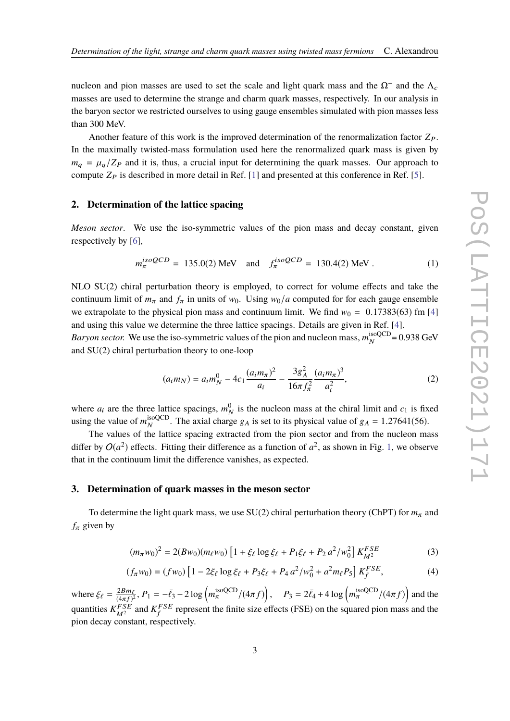nucleon and pion masses are used to set the scale and light quark mass and the  $\Omega$ <sup>-</sup> and the  $\Lambda_c$ masses are used to determine the strange and charm quark masses, respectively. In our analysis in the baryon sector we restricted ourselves to using gauge ensembles simulated with pion masses less than 300 MeV.

Another feature of this work is the improved determination of the renormalization factor  $Z_P$ . In the maximally twisted-mass formulation used here the renormalized quark mass is given by  $m_q = \mu_q/Z_P$  and it is, thus, a crucial input for determining the quark masses. Our approach to compute  $Z_P$  is described in more detail in Ref. [\[1\]](#page-7-0) and presented at this conference in Ref. [\[5\]](#page-7-4).

# **2. Determination of the lattice spacing**

*Meson sector*. We use the iso-symmetric values of the pion mass and decay constant, given respectively by [\[6\]](#page-7-5),

$$
m_{\pi}^{isoQCD} = 135.0(2) \text{ MeV} \quad \text{and} \quad f_{\pi}^{isoQCD} = 130.4(2) \text{ MeV}. \tag{1}
$$

NLO SU(2) chiral perturbation theory is employed, to correct for volume effects and take the continuum limit of  $m_\pi$  and  $f_\pi$  in units of  $w_0$ . Using  $w_0/a$  computed for for each gauge ensemble we extrapolate to the physical pion mass and continuum limit. We find  $w_0 = 0.17383(63)$  fm [\[4\]](#page-7-3) and using this value we determine the three lattice spacings. Details are given in Ref. [\[4\]](#page-7-3).

*Baryon sector.* We use the iso-symmetric values of the pion and nucleon mass,  $m_N^{\text{isoQCD}}$  $N_{N}^{180QCD}$  = 0.938 GeV and SU(2) chiral perturbation theory to one-loop

<span id="page-2-2"></span>
$$
(a_i m_N) = a_i m_N^0 - 4c_1 \frac{(a_i m_\pi)^2}{a_i} - \frac{3g_A^2}{16\pi f_\pi^2} \frac{(a_i m_\pi)^3}{a_i^2},
$$
 (2)

where  $a_i$  are the three lattice spacings,  $m_\lambda^0$  $\frac{0}{N}$  is the nucleon mass at the chiral limit and  $c_1$  is fixed using the value of  $m_N^{\text{isoQCD}}$ <sup>isoQCD</sup>. The axial charge  $g_A$  is set to its physical value of  $g_A = 1.27641(56)$ .

The values of the lattice spacing extracted from the pion sector and from the nucleon mass differ by  $O(a^2)$  effects. Fitting their difference as a function of  $a^2$ , as shown in Fig. [1,](#page-3-0) we observe that in the continuum limit the difference vanishes, as expected.

### <span id="page-2-3"></span>**3. Determination of quark masses in the meson sector**

To determine the light quark mass, we use  $SU(2)$  chiral perturbation theory (ChPT) for  $m_{\pi}$  and  $f_{\pi}$  given by

<span id="page-2-0"></span>
$$
(m_{\pi}w_0)^2 = 2(Bw_0)(m_{\ell}w_0) \left[1 + \xi_{\ell} \log \xi_{\ell} + P_1 \xi_{\ell} + P_2 a^2/w_0^2\right] K_{M^2}^{FSE}
$$
(3)

<span id="page-2-1"></span>
$$
(f_{\pi}w_0) = (fw_0) \left[ 1 - 2\xi_{\ell} \log \xi_{\ell} + P_3 \xi_{\ell} + P_4 a^2 / w_0^2 + a^2 m_{\ell} P_5 \right] K_f^{FSE},\tag{4}
$$

where  $\xi_{\ell} = \frac{2Bm_{\ell}}{(4\pi f)^{2}}$  $\overline{(4\pi f)^2}$  $P_1 = -\bar{\ell}_3 - 2 \log \left( m_\pi^{\text{isoQCD}} / (4\pi f) \right), \quad P_3 = 2\bar{\ell}_4 + 4 \log \left( m_\pi^{\text{isoQCD}} / (4\pi f) \right)$  and the quantities  $K_{M^2}^{FSE}$  and  $K_f^{FSE}$  represent the finite size effects (FSE) on the squared pion mass and the pion decay constant, respectively.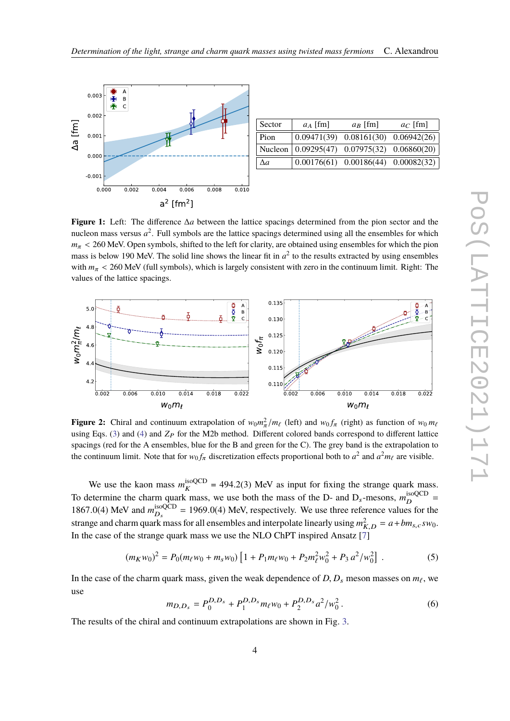<span id="page-3-0"></span>

| Sector     | $a_A$ [fm]                                         | $a_R$ [fm]                                | $a_C$ [fm] |
|------------|----------------------------------------------------|-------------------------------------------|------------|
| Pion       |                                                    | $0.09471(39)$ $0.08161(30)$ $0.06942(26)$ |            |
|            | Nucleon $(0.09295(47)$ $0.07975(32)$ $0.06860(20)$ |                                           |            |
| $\Delta a$ |                                                    | $0.00176(61)$ $0.00186(44)$ $0.00082(32)$ |            |
|            |                                                    |                                           |            |

**Figure 1:** Left: The difference ∆*a* between the lattice spacings determined from the pion sector and the nucleon mass versus  $a^2$ . Full symbols are the lattice spacings determined using all the ensembles for which  $m_{\pi}$  < 260 MeV. Open symbols, shifted to the left for clarity, are obtained using ensembles for which the pion mass is below 190 MeV. The solid line shows the linear fit in  $a^2$  to the results extracted by using ensembles with  $m_{\pi}$  < 260 MeV (full symbols), which is largely consistent with zero in the continuum limit. Right: The values of the lattice spacings.



**Figure 2:** Chiral and continuum extrapolation of  $w_0 m_\ell^2 / m_\ell$  (left) and  $w_0 f_\pi$  (right) as function of  $w_0 m_\ell$ using Eqs. [\(3\)](#page-2-0) and [\(4\)](#page-2-1) and  $Z_P$  for the M2b method. Different colored bands correspond to different lattice spacings (red for the A ensembles, blue for the B and green for the C). The grey band is the extrapolation to the continuum limit. Note that for  $w_0 f_\pi$  discretization effects proportional both to  $a^2$  and  $a^2 m_\ell$  are visible.

We use the kaon mass  $m_K^{\text{isoQCD}}$  $K_K^{\text{isoQCD}} = 494.2(3)$  MeV as input for fixing the strange quark mass. To determine the charm quark mass, we use both the mass of the D- and  $D_s$ -mesons,  $m_D^{\text{isoQCD}}$  $D \frac{180QCD}{D} =$ 1867.0(4) MeV and  $m_{D_s}^{isoQCD}$  $\frac{\text{isoQCD}}{D_s}$  = 1969.0(4) MeV, respectively. We use three reference values for the strange and charm quark mass for all ensembles and interpolate linearly using  $m<sub>R</sub><sup>2</sup>$  $\frac{2}{K,D} = a + bm_{s,c} s w_0.$ In the case of the strange quark mass we use the NLO ChPT inspired Ansatz [\[7\]](#page-7-6)

<span id="page-3-1"></span>
$$
(m_K w_0)^2 = P_0(m_\ell w_0 + m_s w_0) \left[ 1 + P_1 m_\ell w_0 + P_2 m_\ell^2 w_0^2 + P_3 a^2 / w_0^2 \right] \,. \tag{5}
$$

In the case of the charm quark mass, given the weak dependence of  $D$ ,  $D_s$  meson masses on  $m_\ell$ , we use

<span id="page-3-2"></span>
$$
m_{D,D_s} = P_0^{D,D_s} + P_1^{D,D_s} m_\ell w_0 + P_2^{D,D_s} a^2 / w_0^2.
$$
 (6)

The results of the chiral and continuum extrapolations are shown in Fig. [3.](#page-4-1)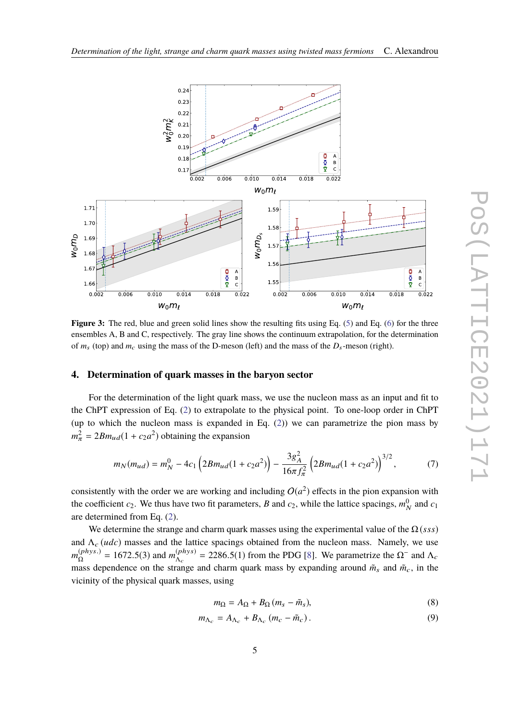<span id="page-4-1"></span>

**Figure 3:** The red, blue and green solid lines show the resulting fits using Eq. [\(5\)](#page-3-1) and Eq. [\(6\)](#page-3-2) for the three ensembles A, B and C, respectively. The gray line shows the continuum extrapolation, for the determination of  $m_s$  (top) and  $m_c$  using the mass of the D-meson (left) and the mass of the  $D_s$ -meson (right).

#### <span id="page-4-0"></span>**4. Determination of quark masses in the baryon sector**

For the determination of the light quark mass, we use the nucleon mass as an input and fit to the ChPT expression of Eq. [\(2\)](#page-2-2) to extrapolate to the physical point. To one-loop order in ChPT (up to which the nucleon mass is expanded in Eq. [\(2\)](#page-2-2)) we can parametrize the pion mass by  $m_{\pi}^2 = 2Bm_{ud}(1 + c_2a^2)$  obtaining the expansion

<span id="page-4-2"></span>
$$
m_N(m_{ud}) = m_N^0 - 4c_1 \left( 2Bm_{ud} (1 + c_2 a^2) \right) - \frac{3g_A^2}{16\pi f_\pi^2} \left( 2Bm_{ud} (1 + c_2 a^2) \right)^{3/2},\tag{7}
$$

consistently with the order we are working and including  $O(a^2)$  effects in the pion expansion with the coefficient  $c_2$ . We thus have two fit parameters, *B* and  $c_2$ , while the lattice spacings,  $m_\lambda^0$  $_N^0$  and  $c_1$ are determined from Eq. [\(2\)](#page-2-2).

We determine the strange and charm quark masses using the experimental value of the  $\Omega$  (*sss*) and  $\Lambda_c (udc)$  masses and the lattice spacings obtained from the nucleon mass. Namely, we use  $m_{\Omega}^{(phys.)} = 1672.5(3)$  and  $m_{\Lambda_c}^{(phys)}$ <br>moss dependence on the strange  $\Lambda_c$ <br> $\Lambda_c$  = 2286.5(1) from the PDG [\[8\]](#page-7-7). We parametrize the  $\Omega^-$  and  $\Lambda_c$ mass dependence on the strange and charm quark mass by expanding around  $\tilde{m}_{s}$  and  $\tilde{m}_{c}$ , in the vicinity of the physical quark masses, using

$$
m_{\Omega} = A_{\Omega} + B_{\Omega} (m_s - \tilde{m}_s),
$$
\n(8)

$$
m_{\Lambda_c} = A_{\Lambda_c} + B_{\Lambda_c} \left( m_c - \tilde{m}_c \right). \tag{9}
$$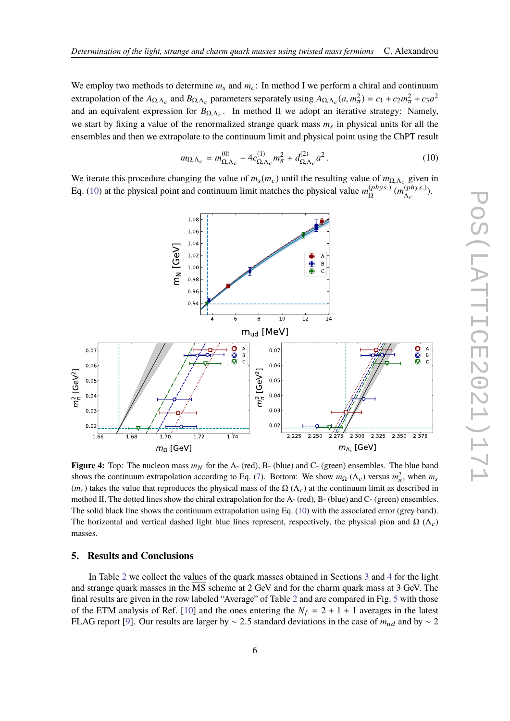We employ two methods to determine  $m_s$  and  $m_c$ : In method I we perform a chiral and continuum extrapolation of the  $A_{\Omega, \Lambda_c}$  and  $B_{\Omega, \Lambda_c}$  parameters separately using  $A_{\Omega, \Lambda_c}(a, m_\pi^2) = c_1 + c_2 m_\pi^2 + c_3 a^2$ <br>and an equivalent expression for *P*<sub>n</sub> and *P*<sub>n</sub> mothod H we odent an iterative stategy. Nomely and an equivalent expression for  $B_{\Omega,\Lambda_c}$ . In method II we adopt an iterative strategy: Namely, we start by fixing a value of the renormalized strange quark mass  $m<sub>s</sub>$  in physical units for all the ensembles and then we extrapolate to the continuum limit and physical point using the ChPT result

<span id="page-5-0"></span>
$$
m_{\Omega,\Lambda_c} = m_{\Omega,\Lambda_c}^{(0)} - 4c_{\Omega,\Lambda_c}^{(1)}m_{\pi}^2 + d_{\Omega,\Lambda_c}^{(2)}a^2.
$$
 (10)

We iterate this procedure changing the value of  $m_S(m_c)$  until the resulting value of  $m_{\Omega, \Lambda_c}$  given in Eq. [\(10\)](#page-5-0) at the physical point and continuum limit matches the physical value  $m_{\Omega}^{(phys.)}$  ( $m_{\Lambda_c}^{(phys.)}$ ).



**Figure 4:** Top: The nucleon mass  $m_N$  for the A- (red), B- (blue) and C- (green) ensembles. The blue band shows the continuum extrapolation according to Eq. [\(7\)](#page-4-2). Bottom: We show  $m_{\Omega} (\Lambda_c)$  versus  $m_{\pi}^2$ , when  $m_s$  $(m_c)$  takes the value that reproduces the physical mass of the  $\Omega(\Lambda_c)$  at the continuum limit as described in method II. The dotted lines show the chiral extrapolation for the A- (red), B- (blue) and C- (green) ensembles. The solid black line shows the continuum extrapolation using Eq. [\(10\)](#page-5-0) with the associated error (grey band). The horizontal and vertical dashed light blue lines represent, respectively, the physical pion and  $\Omega$  ( $\Lambda_c$ ) masses.

## **5. Results and Conclusions**

In Table [2](#page-6-0) we collect the values of the quark masses obtained in Sections [3](#page-2-3) and [4](#page-4-0) for the light and strange quark masses in the MS scheme at 2 GeV and for the charm quark mass at 3 GeV. The final results are given in the row labeled "Average" of Table [2](#page-6-0) and are compared in Fig. [5](#page-6-1) with those of the ETM analysis of Ref. [\[10\]](#page-7-8) and the ones entering the  $N_f = 2 + 1 + 1$  averages in the latest FLAG report [\[9\]](#page-7-9). Our results are larger by ~ 2.5 standard deviations in the case of  $m_{ud}$  and by ~ 2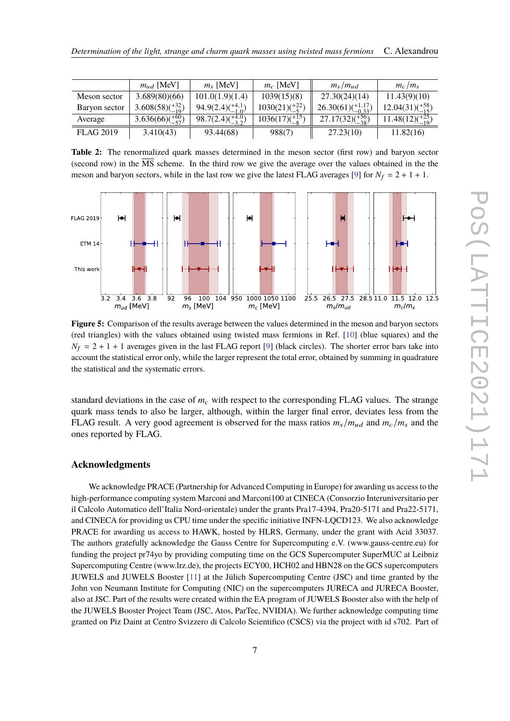<span id="page-6-0"></span>

|                  | $m_{ud}$ [MeV]            | $m_s$ [MeV]                 | $m_c$ [MeV]                     | $m_s/m_{ud}$                  | $m_c/m_s$                 |
|------------------|---------------------------|-----------------------------|---------------------------------|-------------------------------|---------------------------|
| Meson sector     | 3.689(80)(66)             | 101.0(1.9)(1.4)             | 1039(15)(8)                     | 27.30(24)(14)                 | 11.43(9)(10)              |
| Baryon sector    | $3.608(58)(^{+32}_{-19})$ | $94.9(2.4)(^{+4.1}_{-1.0})$ | $1030(21)(\frac{+22}{5})$       | $26.30(61)(^{+1.17}_{-0.33})$ | $12.04(31)(^{+58}_{-15})$ |
| Average          | $3.636(66)(^{+60}_{-57})$ | $98.7(2.4)(^{+4.0}_{-3.2})$ | $1036(17)(\substack{+15 \\ 8})$ | $27.17(32)(\frac{+56}{-38})$  | $11.48(12)(^{+25}_{-19})$ |
| <b>FLAG 2019</b> | 3.410(43)                 | 93.44(68)                   | 988(7)                          | 27.23(10)                     | 11.82(16)                 |

**Table 2:** The renormalized quark masses determined in the meson sector (first row) and baryon sector (second row) in the  $\overline{\text{MS}}$  scheme. In the third row we give the average over the values obtained in the the meson and baryon sectors, while in the last row we give the latest FLAG averages [\[9\]](#page-7-9) for  $N_f = 2 + 1 + 1$ .

<span id="page-6-1"></span>

**Figure 5:** Comparison of the results average between the values determined in the meson and baryon sectors (red triangles) with the values obtained using twisted mass fermions in Ref. [\[10\]](#page-7-8) (blue squares) and the  $N_f = 2 + 1 + 1$  averages given in the last FLAG report [\[9\]](#page-7-9) (black circles). The shorter error bars take into account the statistical error only, while the larger represent the total error, obtained by summing in quadrature the statistical and the systematic errors.

standard deviations in the case of  $m<sub>c</sub>$  with respect to the corresponding FLAG values. The strange quark mass tends to also be larger, although, within the larger final error, deviates less from the FLAG result. A very good agreement is observed for the mass ratios  $m_s/m_{ud}$  and  $m_c/m_s$  and the ones reported by FLAG.

# **Acknowledgments**

We acknowledge PRACE (Partnership for Advanced Computing in Europe) for awarding us access to the high-performance computing system Marconi and Marconi100 at CINECA (Consorzio Interuniversitario per il Calcolo Automatico dell'Italia Nord-orientale) under the grants Pra17-4394, Pra20-5171 and Pra22-5171, and CINECA for providing us CPU time under the specific initiative INFN-LQCD123. We also acknowledge PRACE for awarding us access to HAWK, hosted by HLRS, Germany, under the grant with Acid 33037. The authors gratefully acknowledge the Gauss Centre for Supercomputing e.V. (www.gauss-centre.eu) for funding the project pr74yo by providing computing time on the GCS Supercomputer SuperMUC at Leibniz Supercomputing Centre (www.lrz.de), the projects ECY00, HCH02 and HBN28 on the GCS supercomputers JUWELS and JUWELS Booster [\[11\]](#page-7-10) at the Jülich Supercomputing Centre (JSC) and time granted by the John von Neumann Institute for Computing (NIC) on the supercomputers JURECA and JURECA Booster, also at JSC. Part of the results were created within the EA program of JUWELS Booster also with the help of the JUWELS Booster Project Team (JSC, Atos, ParTec, NVIDIA). We further acknowledge computing time granted on Piz Daint at Centro Svizzero di Calcolo Scientifico (CSCS) via the project with id s702. Part of